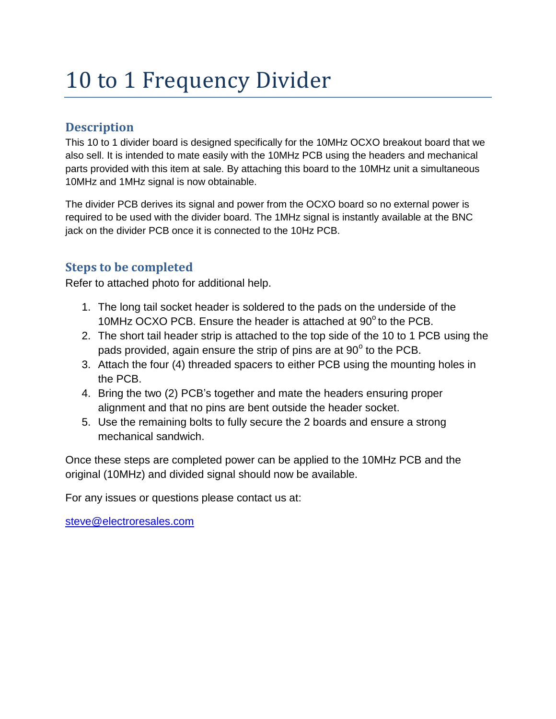## 10 to 1 Frequency Divider

## **Description**

This 10 to 1 divider board is designed specifically for the 10MHz OCXO breakout board that we also sell. It is intended to mate easily with the 10MHz PCB using the headers and mechanical parts provided with this item at sale. By attaching this board to the 10MHz unit a simultaneous 10MHz and 1MHz signal is now obtainable.

The divider PCB derives its signal and power from the OCXO board so no external power is required to be used with the divider board. The 1MHz signal is instantly available at the BNC jack on the divider PCB once it is connected to the 10Hz PCB.

## **Steps to be completed**

Refer to attached photo for additional help.

- 1. The long tail socket header is soldered to the pads on the underside of the 10MHz OCXO PCB. Ensure the header is attached at 90° to the PCB.
- 2. The short tail header strip is attached to the top side of the 10 to 1 PCB using the pads provided, again ensure the strip of pins are at  $90^{\circ}$  to the PCB.
- 3. Attach the four (4) threaded spacers to either PCB using the mounting holes in the PCB.
- 4. Bring the two (2) PCB's together and mate the headers ensuring proper alignment and that no pins are bent outside the header socket.
- 5. Use the remaining bolts to fully secure the 2 boards and ensure a strong mechanical sandwich.

Once these steps are completed power can be applied to the 10MHz PCB and the original (10MHz) and divided signal should now be available.

For any issues or questions please contact us at:

[steve@electroresales.com](mailto:steve@electroresales.com)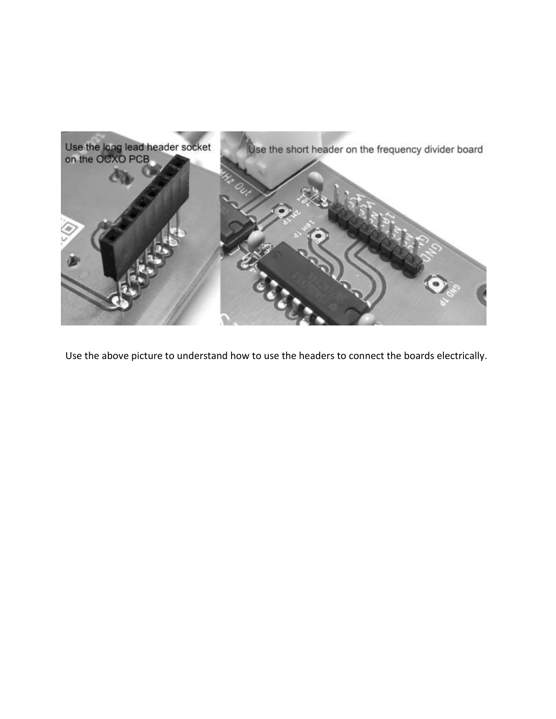

Use the above picture to understand how to use the headers to connect the boards electrically.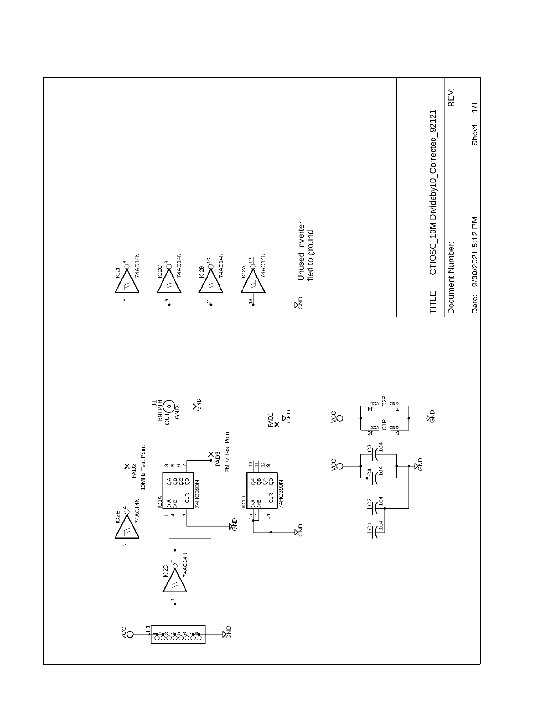